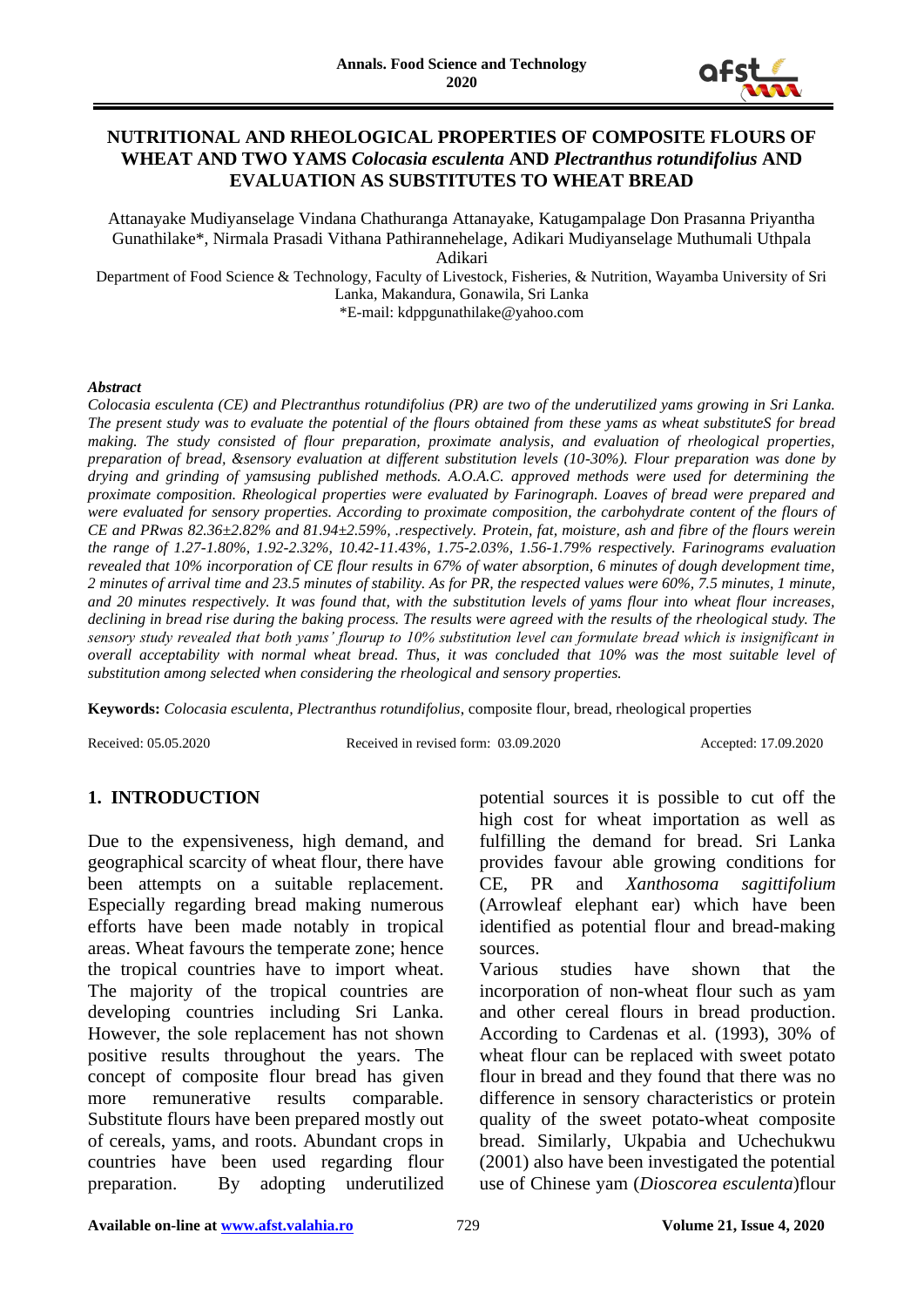

### **NUTRITIONAL AND RHEOLOGICAL PROPERTIES OF COMPOSITE FLOURS OF WHEAT AND TWO YAMS** *Colocasia esculenta* **AND** *Plectranthus rotundifolius* **AND EVALUATION AS SUBSTITUTES TO WHEAT BREAD**

Attanayake Mudiyanselage Vindana Chathuranga Attanayake, Katugampalage Don Prasanna Priyantha Gunathilake\*, Nirmala Prasadi Vithana Pathirannehelage, Adikari Mudiyanselage Muthumali Uthpala Adikari

Department of Food Science & Technology, Faculty of Livestock, Fisheries, & Nutrition, Wayamba University of Sri Lanka, Makandura, Gonawila, Sri Lanka \*E-mail: kdppgunathilake@yahoo.com

#### *Abstract*

*Colocasia esculenta (CE) and Plectranthus rotundifolius (PR) are two of the underutilized yams growing in Sri Lanka. The present study was to evaluate the potential of the flours obtained from these yams as wheat substituteS for bread making. The study consisted of flour preparation, proximate analysis, and evaluation of rheological properties, preparation of bread, &sensory evaluation at different substitution levels (10-30%). Flour preparation was done by drying and grinding of yamsusing published methods. A.O.A.C. approved methods were used for determining the proximate composition. Rheological properties were evaluated by Farinograph. Loaves of bread were prepared and were evaluated for sensory properties. According to proximate composition, the carbohydrate content of the flours of CE and PRwas 82.36±2.82% and 81.94±2.59%, .respectively. Protein, fat, moisture, ash and fibre of the flours werein the range of 1.27-1.80%, 1.92-2.32%, 10.42-11.43%, 1.75-2.03%, 1.56-1.79% respectively. Farinograms evaluation revealed that 10% incorporation of CE flour results in 67% of water absorption, 6 minutes of dough development time, 2 minutes of arrival time and 23.5 minutes of stability. As for PR, the respected values were 60%, 7.5 minutes, 1 minute, and 20 minutes respectively. It was found that, with the substitution levels of yams flour into wheat flour increases, declining in bread rise during the baking process. The results were agreed with the results of the rheological study. The sensory study revealed that both yams' flourup to 10% substitution level can formulate bread which is insignificant in overall acceptability with normal wheat bread. Thus, it was concluded that 10% was the most suitable level of substitution among selected when considering the rheological and sensory properties.* 

**Keywords:** *Colocasia esculenta, Plectranthus rotundifolius*, composite flour, bread, rheological properties

Received: 05.05.2020 Received in revised form: 03.09.2020 Accepted: 17.09.2020

# **1. INTRODUCTION**

Due to the expensiveness, high demand, and geographical scarcity of wheat flour, there have been attempts on a suitable replacement. Especially regarding bread making numerous efforts have been made notably in tropical areas. Wheat favours the temperate zone; hence the tropical countries have to import wheat. The majority of the tropical countries are developing countries including Sri Lanka. However, the sole replacement has not shown positive results throughout the years. The concept of composite flour bread has given more remunerative results comparable. Substitute flours have been prepared mostly out of cereals, yams, and roots. Abundant crops in countries have been used regarding flour preparation. By adopting underutilized

potential sources it is possible to cut off the high cost for wheat importation as well as fulfilling the demand for bread. Sri Lanka provides favour able growing conditions for CE, PR and *Xanthosoma sagittifolium* (Arrowleaf elephant ear) which have been identified as potential flour and bread-making sources.

Various studies have shown that the incorporation of non-wheat flour such as yam and other cereal flours in bread production. According to Cardenas et al. (1993), 30% of wheat flour can be replaced with sweet potato flour in bread and they found that there was no difference in sensory characteristics or protein quality of the sweet potato-wheat composite bread. Similarly, Ukpabia and Uchechukwu (2001) also have been investigated the potential use of Chinese yam (*Dioscorea esculenta*)flour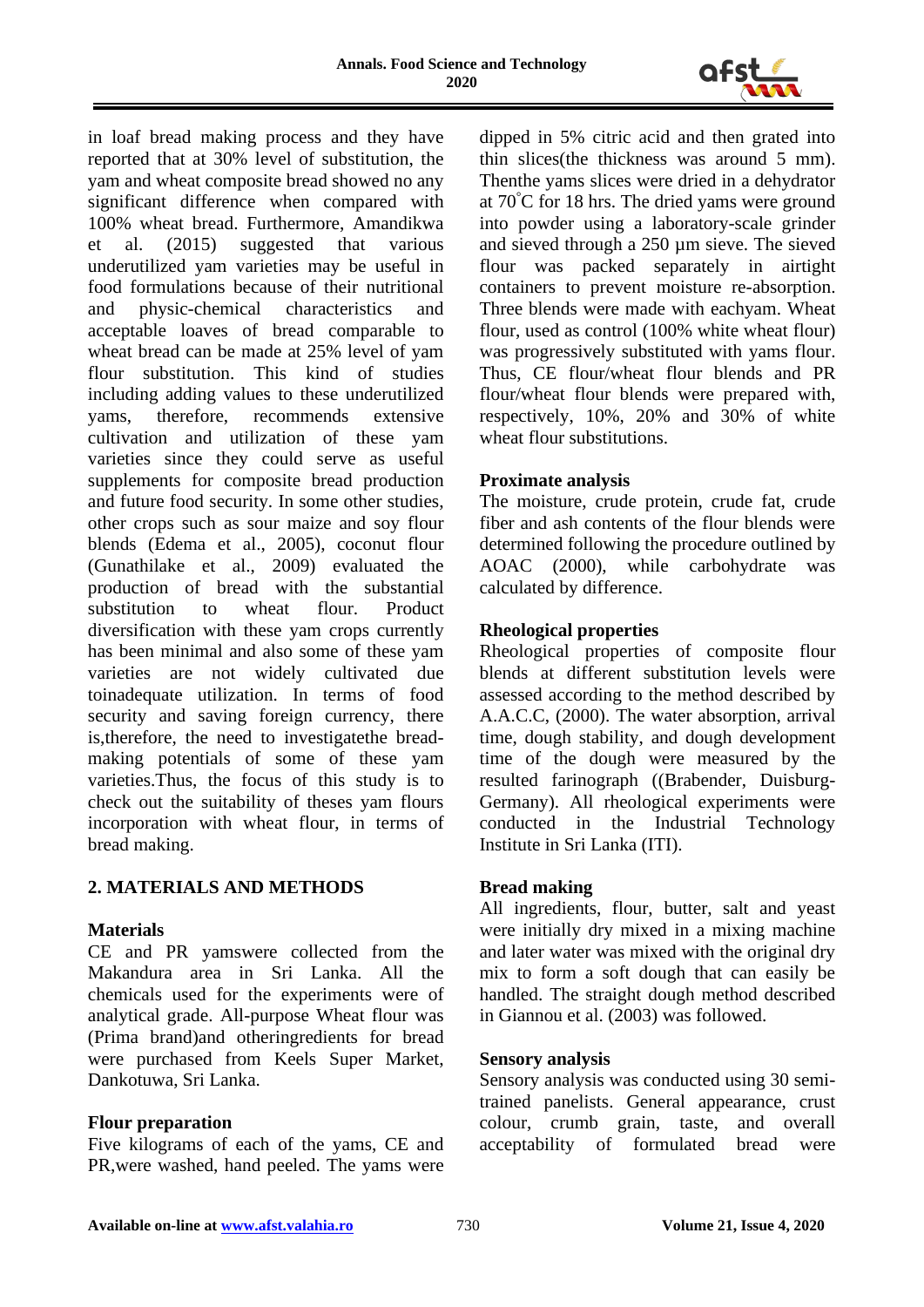

in loaf bread making process and they have reported that at 30% level of substitution, the yam and wheat composite bread showed no any significant difference when compared with 100% wheat bread. Furthermore, Amandikwa et al. (2015) suggested that various underutilized yam varieties may be useful in food formulations because of their nutritional and physic-chemical characteristics acceptable loaves of bread comparable to wheat bread can be made at 25% level of yam flour substitution. This kind of studies including adding values to these underutilized yams, therefore, recommends extensive cultivation and utilization of these yam varieties since they could serve as useful supplements for composite bread production and future food security. In some other studies, other crops such as sour maize and soy flour blends (Edema et al., 2005), coconut flour (Gunathilake et al., 2009) evaluated the production of bread with the substantial substitution to wheat flour. Product diversification with these yam crops currently has been minimal and also some of these yam varieties are not widely cultivated due toinadequate utilization. In terms of food security and saving foreign currency, there is,therefore, the need to investigatethe breadmaking potentials of some of these yam varieties.Thus, the focus of this study is to check out the suitability of theses yam flours incorporation with wheat flour, in terms of bread making.

### **2. MATERIALS AND METHODS**

### **Materials**

CE and PR yamswere collected from the Makandura area in Sri Lanka. All the chemicals used for the experiments were of analytical grade. All-purpose Wheat flour was (Prima brand)and otheringredients for bread were purchased from Keels Super Market, Dankotuwa, Sri Lanka.

### **Flour preparation**

Five kilograms of each of the yams, CE and PR,were washed, hand peeled. The yams were dipped in 5% citric acid and then grated into thin slices(the thickness was around 5 mm). Thenthe yams slices were dried in a dehydrator at 70°C for 18 hrs. The dried yams were ground into powder using a laboratory-scale grinder and sieved through a 250 µm sieve. The sieved flour was packed separately in airtight containers to prevent moisture re-absorption. Three blends were made with eachyam. Wheat flour, used as control (100% white wheat flour) was progressively substituted with yams flour. Thus, CE flour/wheat flour blends and PR flour/wheat flour blends were prepared with, respectively, 10%, 20% and 30% of white wheat flour substitutions.

### **Proximate analysis**

The moisture, crude protein, crude fat, crude fiber and ash contents of the flour blends were determined following the procedure outlined by AOAC (2000), while carbohydrate was calculated by difference.

# **Rheological properties**

Rheological properties of composite flour blends at different substitution levels were assessed according to the method described by A.A.C.C, (2000). The water absorption, arrival time, dough stability, and dough development time of the dough were measured by the resulted farinograph ((Brabender, Duisburg-Germany). All rheological experiments were conducted in the Industrial Technology Institute in Sri Lanka (ITI).

### **Bread making**

All ingredients, flour, butter, salt and yeast were initially dry mixed in a mixing machine and later water was mixed with the original dry mix to form a soft dough that can easily be handled. The straight dough method described in Giannou et al. (2003) was followed.

### **Sensory analysis**

Sensory analysis was conducted using 30 semitrained panelists. General appearance, crust colour, crumb grain, taste, and overall acceptability of formulated bread were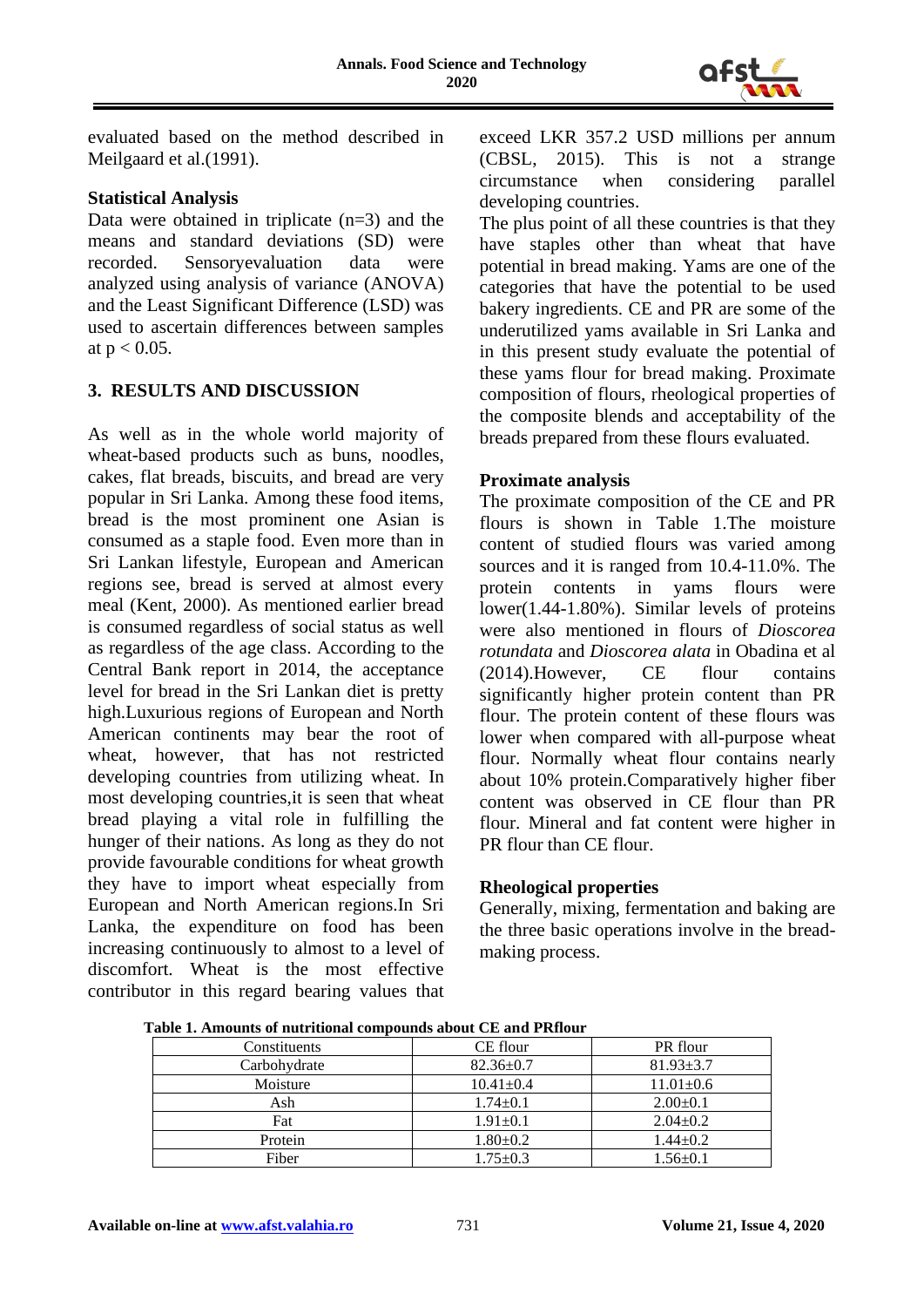

evaluated based on the method described in Meilgaard et al.(1991).

### **Statistical Analysis**

Data were obtained in triplicate  $(n=3)$  and the means and standard deviations (SD) were recorded. Sensoryevaluation data were analyzed using analysis of variance (ANOVA) and the Least Significant Difference (LSD) was used to ascertain differences between samples at  $p < 0.05$ .

### **3. RESULTS AND DISCUSSION**

As well as in the whole world majority of wheat-based products such as buns, noodles, cakes, flat breads, biscuits, and bread are very popular in Sri Lanka. Among these food items, bread is the most prominent one Asian is consumed as a staple food. Even more than in Sri Lankan lifestyle, European and American regions see, bread is served at almost every meal (Kent, 2000). As mentioned earlier bread is consumed regardless of social status as well as regardless of the age class. According to the Central Bank report in 2014, the acceptance level for bread in the Sri Lankan diet is pretty high.Luxurious regions of European and North American continents may bear the root of wheat, however, that has not restricted developing countries from utilizing wheat. In most developing countries,it is seen that wheat bread playing a vital role in fulfilling the hunger of their nations. As long as they do not provide favourable conditions for wheat growth they have to import wheat especially from European and North American regions.In Sri Lanka, the expenditure on food has been increasing continuously to almost to a level of discomfort. Wheat is the most effective contributor in this regard bearing values that exceed LKR 357.2 USD millions per annum (CBSL, 2015). This is not a strange circumstance when considering parallel developing countries.

The plus point of all these countries is that they have staples other than wheat that have potential in bread making. Yams are one of the categories that have the potential to be used bakery ingredients. CE and PR are some of the underutilized yams available in Sri Lanka and in this present study evaluate the potential of these yams flour for bread making. Proximate composition of flours, rheological properties of the composite blends and acceptability of the breads prepared from these flours evaluated.

### **Proximate analysis**

The proximate composition of the CE and PR flours is shown in Table 1.The moisture content of studied flours was varied among sources and it is ranged from 10.4-11.0%. The protein contents in yams flours were lower(1.44-1.80%). Similar levels of proteins were also mentioned in flours of *Dioscorea rotundata* and *Dioscorea alata* in Obadina et al (2014).However, CE flour contains significantly higher protein content than PR flour. The protein content of these flours was lower when compared with all-purpose wheat flour. Normally wheat flour contains nearly about 10% protein.Comparatively higher fiber content was observed in CE flour than PR flour. Mineral and fat content were higher in PR flour than CE flour.

### **Rheological properties**

Generally, mixing, fermentation and baking are the three basic operations involve in the breadmaking process.

| Constituents | CE flour        | PR flour        |  |
|--------------|-----------------|-----------------|--|
| Carbohydrate | $82.36 \pm 0.7$ | $81.93 \pm 3.7$ |  |
| Moisture     | $10.41 \pm 0.4$ | $11.01 \pm 0.6$ |  |
| Ash          | $1.74 \pm 0.1$  | $2.00 \pm 0.1$  |  |
| Fat          | $1.91 \pm 0.1$  | $2.04 \pm 0.2$  |  |
| Protein      | $1.80 \pm 0.2$  | $1.44 \pm 0.2$  |  |
| Fiber        | $1.75 \pm 0.3$  | 1.56±0.1        |  |

**Table 1. Amounts of nutritional compounds about CE and PRflour**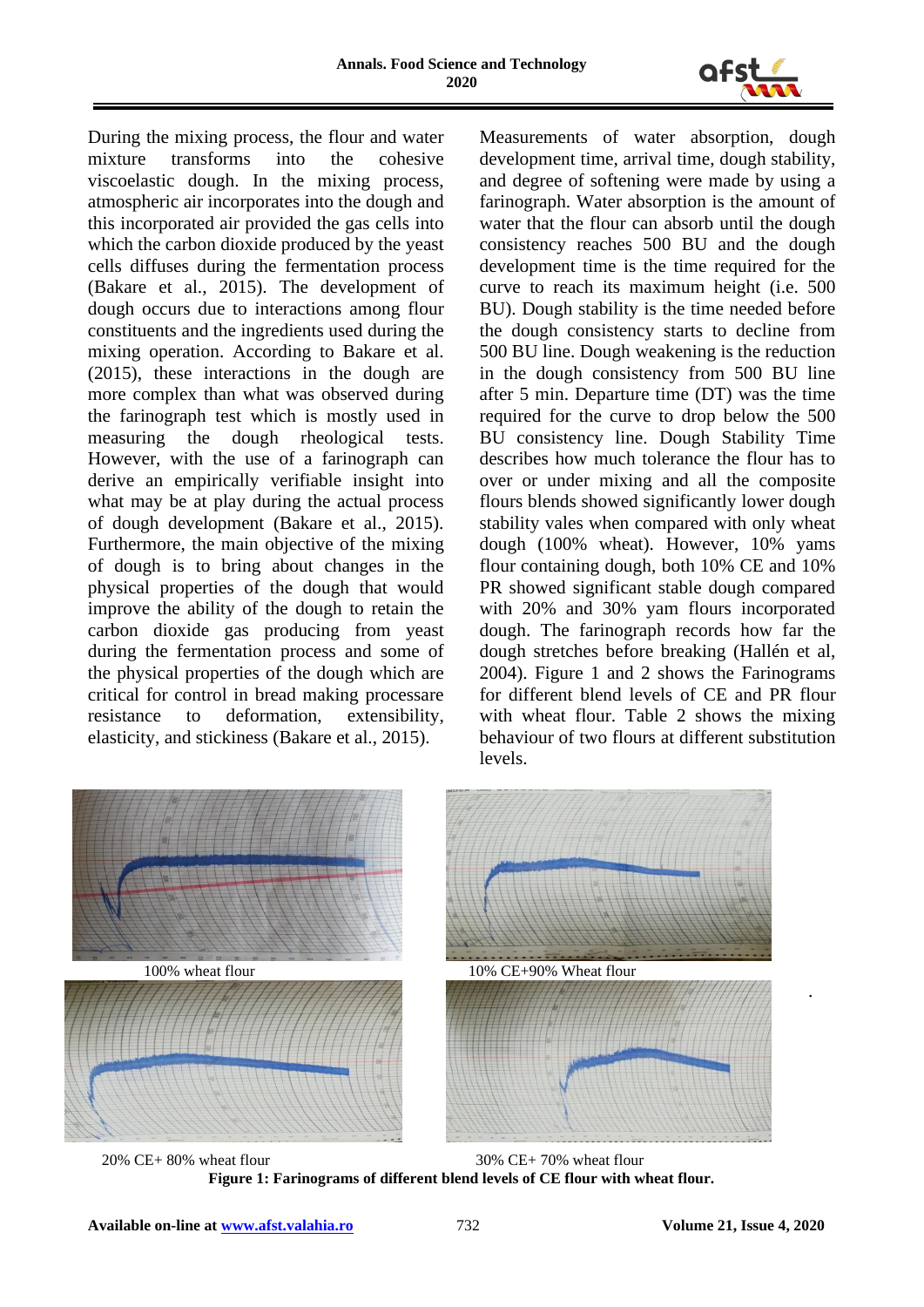

During the mixing process, the flour and water mixture transforms into the cohesive viscoelastic dough. In the mixing process, atmospheric air incorporates into the dough and this incorporated air provided the gas cells into which the carbon dioxide produced by the yeast cells diffuses during the fermentation process (Bakare et al., 2015). The development of dough occurs due to interactions among flour constituents and the ingredients used during the mixing operation. According to Bakare et al. (2015), these interactions in the dough are more complex than what was observed during the farinograph test which is mostly used in measuring the dough rheological tests. However, with the use of a farinograph can derive an empirically verifiable insight into what may be at play during the actual process of dough development (Bakare et al., 2015). Furthermore, the main objective of the mixing of dough is to bring about changes in the physical properties of the dough that would improve the ability of the dough to retain the carbon dioxide gas producing from yeast during the fermentation process and some of the physical properties of the dough which are critical for control in bread making processare resistance to deformation, extensibility, elasticity, and stickiness (Bakare et al., 2015).

Measurements of water absorption, dough development time, arrival time, dough stability, and degree of softening were made by using a farinograph. Water absorption is the amount of water that the flour can absorb until the dough consistency reaches 500 BU and the dough development time is the time required for the curve to reach its maximum height (i.e. 500 BU). Dough stability is the time needed before the dough consistency starts to decline from 500 BU line. Dough weakening is the reduction in the dough consistency from 500 BU line after 5 min. Departure time (DT) was the time required for the curve to drop below the 500 BU consistency line. Dough Stability Time describes how much tolerance the flour has to over or under mixing and all the composite flours blends showed significantly lower dough stability vales when compared with only wheat dough (100% wheat). However, 10% yams flour containing dough, both 10% CE and 10% PR showed significant stable dough compared with 20% and 30% yam flours incorporated dough. The farinograph records how far the dough stretches before breaking (Hallén et al, 2004). Figure 1 and 2 shows the Farinograms for different blend levels of CE and PR flour with wheat flour. Table 2 shows the mixing behaviour of two flours at different substitution levels.



 20% CE+ 80% wheat flour 30% CE+ 70% wheat flour **Figure 1: Farinograms of different blend levels of CE flour with wheat flour.**

.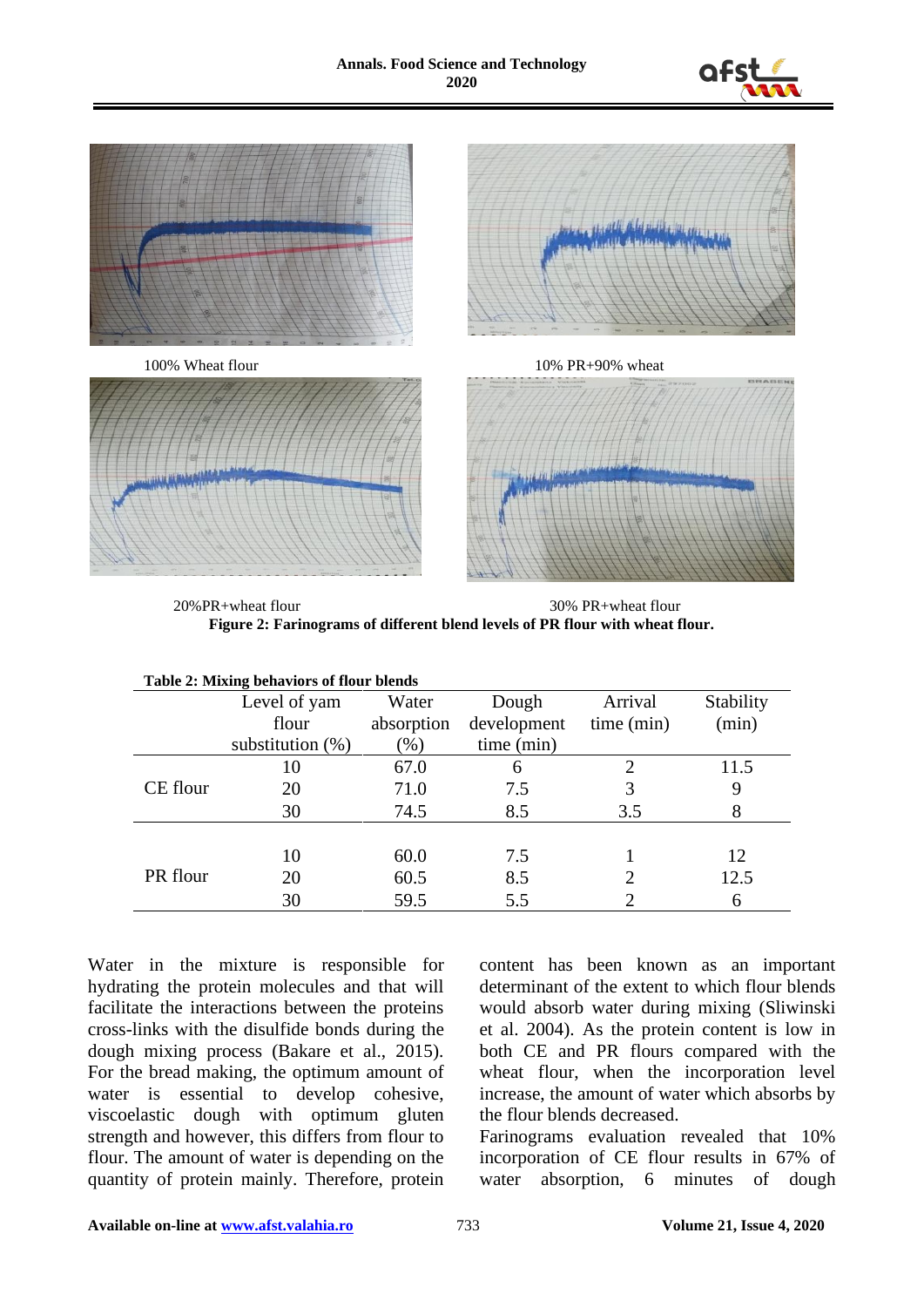



 20%PR+wheat flour 30% PR+wheat flour **Figure 2: Farinograms of different blend levels of PR flour with wheat flour.**

| Table 2: Mixing behaviors of flour blends |                     |            |             |                |           |  |  |
|-------------------------------------------|---------------------|------------|-------------|----------------|-----------|--|--|
|                                           | Level of yam        | Water      | Dough       | Arrival        | Stability |  |  |
|                                           | flour               | absorption | development | time (min)     | (min)     |  |  |
|                                           | substitution $(\%)$ | $(\% )$    | time (min)  |                |           |  |  |
|                                           | 10                  | 67.0       | 6           | $\overline{c}$ | 11.5      |  |  |
| CE flour                                  | 20                  | 71.0       | 7.5         | 3              | 9         |  |  |
|                                           | 30                  | 74.5       | 8.5         | 3.5            | 8         |  |  |
|                                           |                     |            |             |                |           |  |  |
|                                           | 10                  | 60.0       | 7.5         |                | 12        |  |  |
| PR flour                                  | 20                  | 60.5       | 8.5         | $\overline{c}$ | 12.5      |  |  |
|                                           | 30                  | 59.5       | 5.5         |                | 6         |  |  |

Water in the mixture is responsible for hydrating the protein molecules and that will facilitate the interactions between the proteins cross-links with the disulfide bonds during the dough mixing process (Bakare et al., 2015). For the bread making, the optimum amount of water is essential to develop cohesive, viscoelastic dough with optimum gluten strength and however, this differs from flour to flour. The amount of water is depending on the quantity of protein mainly. Therefore, protein

content has been known as an important determinant of the extent to which flour blends would absorb water during mixing (Sliwinski et al. 2004). As the protein content is low in both CE and PR flours compared with the wheat flour, when the incorporation level increase, the amount of water which absorbs by the flour blends decreased.

Farinograms evaluation revealed that 10% incorporation of CE flour results in 67% of water absorption, 6 minutes of dough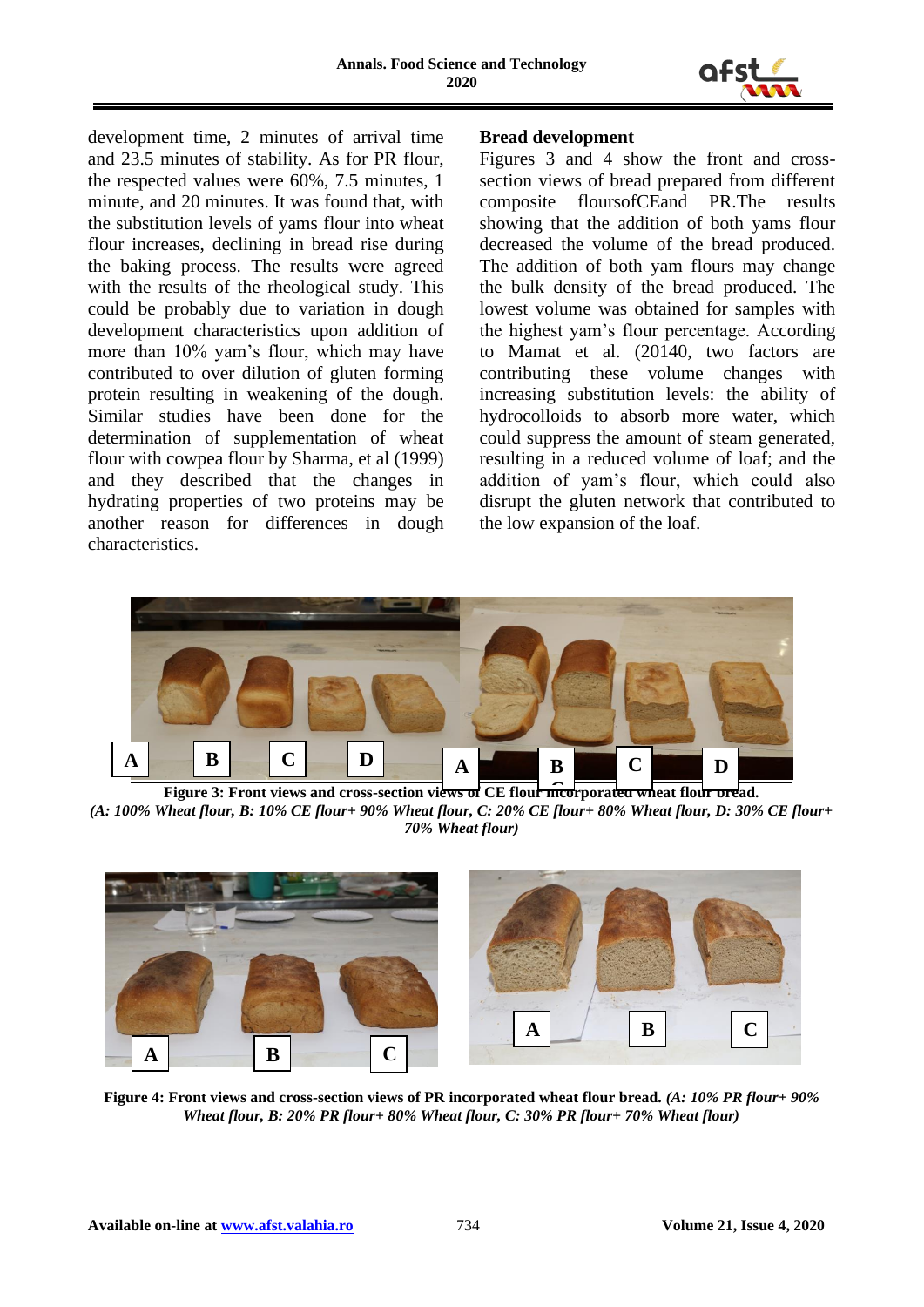

development time, 2 minutes of arrival time and 23.5 minutes of stability. As for PR flour, the respected values were 60%, 7.5 minutes, 1 minute, and 20 minutes. It was found that, with the substitution levels of yams flour into wheat flour increases, declining in bread rise during the baking process. The results were agreed with the results of the rheological study. This could be probably due to variation in dough development characteristics upon addition of more than 10% yam's flour, which may have contributed to over dilution of gluten forming protein resulting in weakening of the dough. Similar studies have been done for the determination of supplementation of wheat flour with cowpea flour by Sharma, et al (1999) and they described that the changes in hydrating properties of two proteins may be another reason for differences in dough characteristics.

# **Bread development**

Figures 3 and 4 show the front and crosssection views of bread prepared from different composite floursofCEand PR.The results showing that the addition of both yams flour decreased the volume of the bread produced. The addition of both yam flours may change the bulk density of the bread produced. The lowest volume was obtained for samples with the highest yam's flour percentage. According to Mamat et al. (20140, two factors are contributing these volume changes with increasing substitution levels: the ability of hydrocolloids to absorb more water, which could suppress the amount of steam generated, resulting in a reduced volume of loaf; and the addition of yam's flour, which could also disrupt the gluten network that contributed to the low expansion of the loaf.



**Figure 3: Front views and cross-section views of CE flour incorporated wheat flour bread.** (A: 100% Wheat flour, B: 10% CE flour+ 90% Wheat flour, C: 20% CE flour+ 80% Wheat flour, D: 30% CE flour+ *70% Wheat flour)*



**Figure 4: Front views and cross-section views of PR incorporated wheat flour bread.** *(A: 10% PR flour+ 90%* $\tilde{D}$ *Wheat flour, B: 20% PR flour+ 80% Wheat flour, C: 30% PR flour+ 70% Wheat flour)*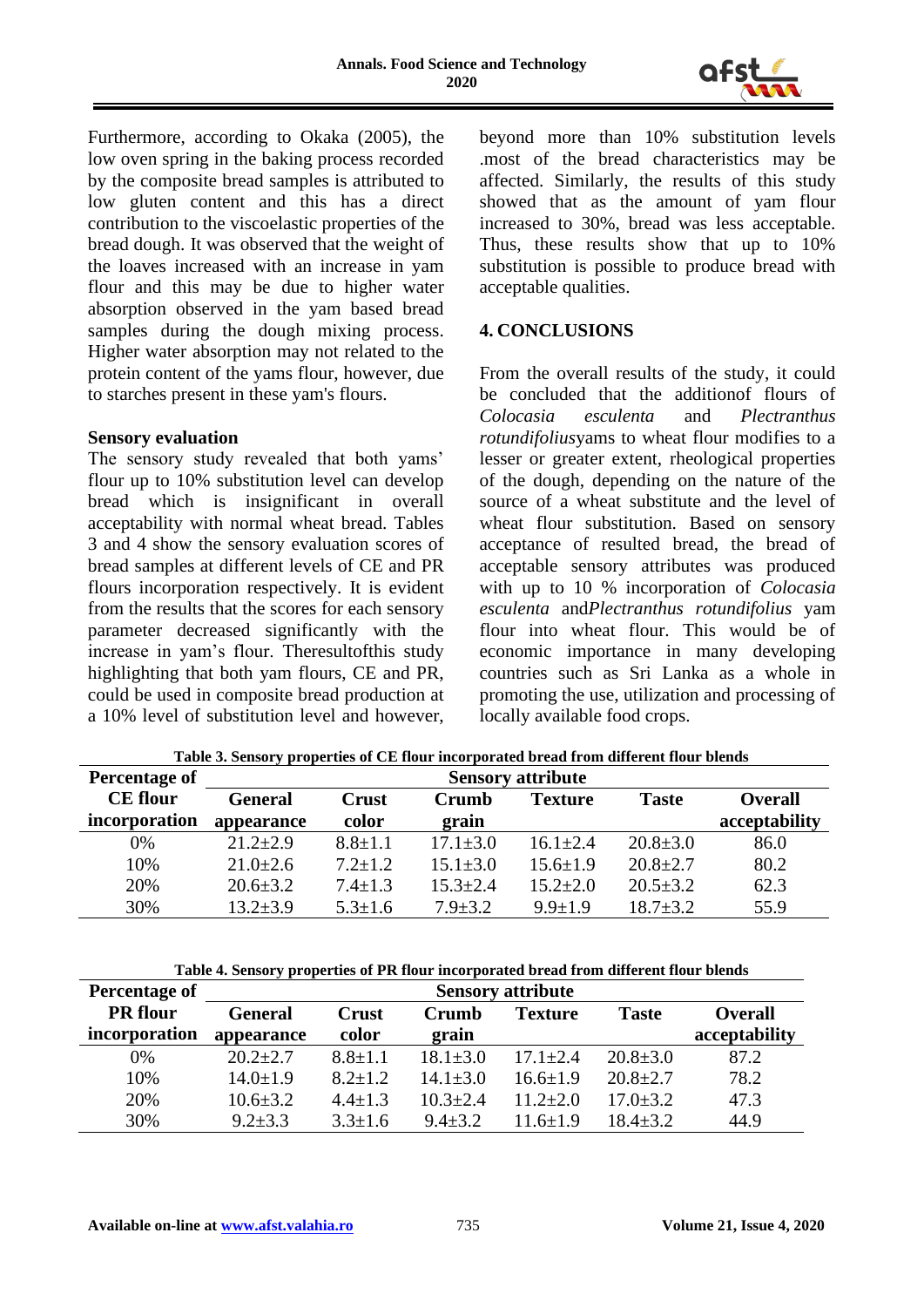

Furthermore, according to Okaka (2005), the low oven spring in the baking process recorded by the composite bread samples is attributed to low gluten content and this has a direct contribution to the viscoelastic properties of the bread dough. It was observed that the weight of the loaves increased with an increase in yam flour and this may be due to higher water absorption observed in the yam based bread samples during the dough mixing process. Higher water absorption may not related to the protein content of the yams flour, however, due to starches present in these yam's flours.

### **Sensory evaluation**

The sensory study revealed that both yams' flour up to 10% substitution level can develop bread which is insignificant in overall acceptability with normal wheat bread. Tables 3 and 4 show the sensory evaluation scores of bread samples at different levels of CE and PR flours incorporation respectively. It is evident from the results that the scores for each sensory parameter decreased significantly with the increase in yam's flour. Theresultofthis study highlighting that both yam flours, CE and PR, could be used in composite bread production at a 10% level of substitution level and however, beyond more than 10% substitution levels .most of the bread characteristics may be affected. Similarly, the results of this study showed that as the amount of yam flour increased to 30%, bread was less acceptable. Thus, these results show that up to 10% substitution is possible to produce bread with acceptable qualities.

### **4. CONCLUSIONS**

From the overall results of the study, it could be concluded that the additionof flours of *Colocasia esculenta* and *Plectranthus rotundifolius*yams to wheat flour modifies to a lesser or greater extent, rheological properties of the dough, depending on the nature of the source of a wheat substitute and the level of wheat flour substitution. Based on sensory acceptance of resulted bread, the bread of acceptable sensory attributes was produced with up to 10 % incorporation of *Colocasia esculenta* and*Plectranthus rotundifolius* yam flour into wheat flour. This would be of economic importance in many developing countries such as Sri Lanka as a whole in promoting the use, utilization and processing of locally available food crops.

| Percentage of   | <b>Sensory attribute</b> |               |                |                |                |                |
|-----------------|--------------------------|---------------|----------------|----------------|----------------|----------------|
| <b>CE</b> flour | <b>General</b>           | Crust         | Crumb          | Texture        | <b>Taste</b>   | <b>Overall</b> |
| incorporation   | appearance               | color         | grain          |                |                | acceptability  |
| 0%              | $21.2 \pm 2.9$           | $8.8 \pm 1.1$ | $17.1 \pm 3.0$ | $16.1 \pm 2.4$ | $20.8 \pm 3.0$ | 86.0           |
| 10%             | $21.0 \pm 2.6$           | $7.2 + 1.2$   | $15.1 + 3.0$   | $15.6 + 1.9$   | $20.8 \pm 2.7$ | 80.2           |
| 20%             | $20.6 \pm 3.2$           | $7.4 \pm 1.3$ | $15.3 \pm 2.4$ | $15.2 \pm 2.0$ | $20.5 \pm 3.2$ | 62.3           |
| 30%             | $13.2 \pm 3.9$           | $5.3 \pm 1.6$ | $7.9 \pm 3.2$  | $9.9 \pm 1.9$  | $18.7 + 3.2$   | 55.9           |

**Table 3. Sensory properties of CE flour incorporated bread from different flour blends**

| Table 4. Sensory properties of PR flour incorporated bread from different flour blends |                          |               |                |                |                |                |
|----------------------------------------------------------------------------------------|--------------------------|---------------|----------------|----------------|----------------|----------------|
| Percentage of                                                                          | <b>Sensory attribute</b> |               |                |                |                |                |
| <b>PR</b> flour                                                                        | <b>General</b>           | <b>Crust</b>  | Crumb          | <b>Texture</b> | <b>Taste</b>   | <b>Overall</b> |
| incorporation                                                                          | appearance               | color         | grain          |                |                | acceptability  |
| 0%                                                                                     | $20.2+2.7$               | $8.8 \pm 1.1$ | $18.1 \pm 3.0$ | $17.1 \pm 2.4$ | $20.8 \pm 3.0$ | 87.2           |
| 10%                                                                                    | $14.0 \pm 1.9$           | $8.2 \pm 1.2$ | $14.1 \pm 3.0$ | $16.6 + 1.9$   | $20.8 \pm 2.7$ | 78.2           |
| 20%                                                                                    | $10.6 \pm 3.2$           | $4.4 \pm 1.3$ | $10.3 \pm 2.4$ | $11.2 \pm 2.0$ | $17.0 \pm 3.2$ | 47.3           |
| 30%                                                                                    | $9.2 + 3.3$              | $3.3 \pm 1.6$ | $9.4 \pm 3.2$  | $11.6 + 1.9$   | $18.4 \pm 3.2$ | 44.9           |